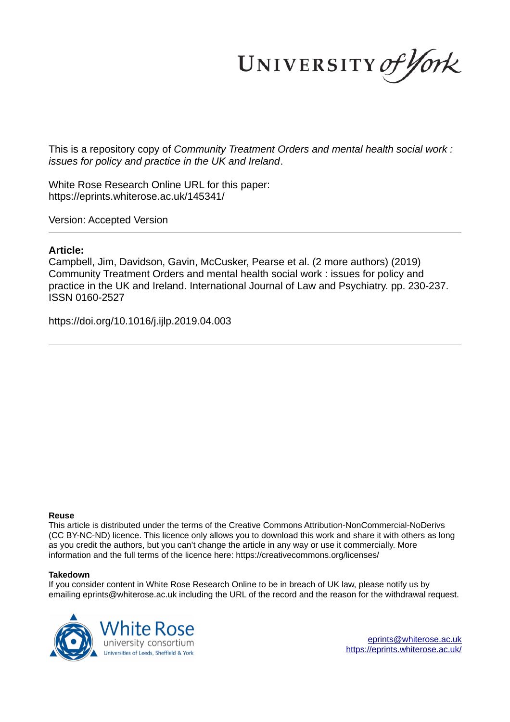UNIVERSITY of York

This is a repository copy of *Community Treatment Orders and mental health social work : issues for policy and practice in the UK and Ireland*.

White Rose Research Online URL for this paper: https://eprints.whiterose.ac.uk/145341/

Version: Accepted Version

# **Article:**

Campbell, Jim, Davidson, Gavin, McCusker, Pearse et al. (2 more authors) (2019) Community Treatment Orders and mental health social work : issues for policy and practice in the UK and Ireland. International Journal of Law and Psychiatry. pp. 230-237. ISSN 0160-2527

https://doi.org/10.1016/j.ijlp.2019.04.003

# **Reuse**

This article is distributed under the terms of the Creative Commons Attribution-NonCommercial-NoDerivs (CC BY-NC-ND) licence. This licence only allows you to download this work and share it with others as long as you credit the authors, but you can't change the article in any way or use it commercially. More information and the full terms of the licence here: https://creativecommons.org/licenses/

# **Takedown**

If you consider content in White Rose Research Online to be in breach of UK law, please notify us by emailing eprints@whiterose.ac.uk including the URL of the record and the reason for the withdrawal request.



eprints@whiterose.ac.uk https://eprints.whiterose.ac.uk/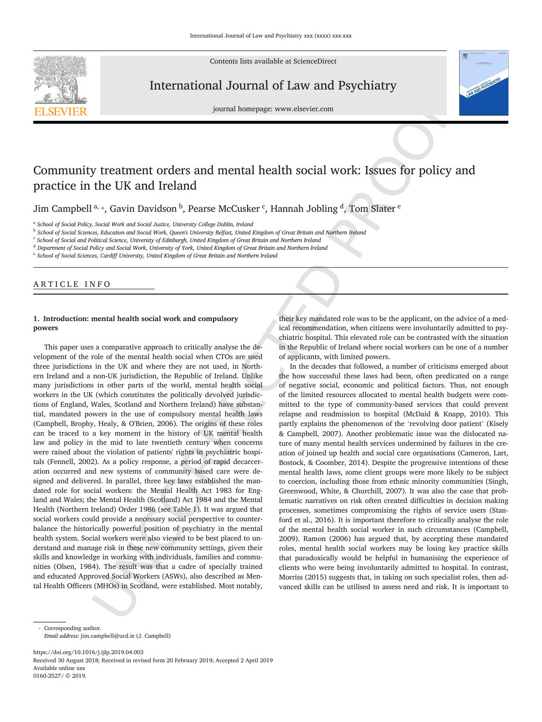

Contents lists available at ScienceDirect

International Journal of Law and Psychiatry



journal homepage: www.elsevier.com

# Community treatment orders and mental health social work: Issues for policy and practice in the UK and Ireland

Jim Campbell <sup>a,</sup> \*, Gavin Davidson <sup>b</sup>, Pearse McCusker <sup>c</sup>, Hannah Jobling <sup>d</sup>, Tom Slater <sup>e</sup>

a *School of Social Policy, Social Work and Social Justice, University College Dublin, Ireland*

b *School of Social Sciences, Education and Social Work, Queen's University Belfast, United Kingdom of Great Britain and Northern Ireland*

c *School of Social and Political Science, University of Edinburgh, United Kingdom of Great Britain and Northern Ireland*

<sup>d</sup> *Department of Social Policy and Social Work, University of York, United Kingdom of Great Britain and Northern Ireland*

e *School of Social Sciences, Cardiff University, United Kingdom of Great Britain and Northern Ireland*

## ARTICLE INFO

### **1. Introduction: mental health social work and compulsory powers**

This paper uses a comparative approach to critically analyse the development of the role of the mental health social when CTOs are used three jurisdictions in the UK and where they are not used, in Northern Ireland and a non-UK jurisdiction, the Republic of Ireland. Unlike many jurisdictions in other parts of the world, mental health social workers in the UK (which constitutes the politically devolved jurisdictions of England, Wales, Scotland and Northern Ireland) have substantial, mandated powers in the use of compulsory mental health laws (Campbell, Brophy, Healy, & O'Brien, 2006). The origins of these roles can be traced to a key moment in the history of UK mental health law and policy in the mid to late twentieth century when concerns were raised about the violation of patients' rights in psychiatric hospitals (Fennell, 2002). As a policy response, a period of rapid decarceration occurred and new systems of community based care were designed and delivered. In parallel, three key laws established the mandated role for social workers: the Mental Health Act 1983 for England and Wales; the Mental Health (Scotland) Act 1984 and the Mental Health (Northern Ireland) Order 1986 (see Table 1). It was argued that social workers could provide a necessary social perspective to counterbalance the historically powerful position of psychiatry in the mental health system. Social workers were also viewed to be best placed to understand and manage risk in these new community settings, given their skills and knowledge in working with individuals, families and communities (Olsen, 1984). The result was that a cadre of specially trained and educated Approved Social Workers (ASWs), also described as Mental Health Officers (MHOs) in Scotland, were established. Most notably,

their key mandated role was to be the applicant, on the advice of a medical recommendation, when citizens were involuntarily admitted to psychiatric hospital. This elevated role can be contrasted with the situation in the Republic of Ireland where social workers can be one of a number of applicants, with limited powers.

isumal homensage www.elewist.com<br>
isumal homensage www.elewist.com<br>
UNCORRECTE SEUGES (or policy and<br>
UNCORRECTE AND TREVIEW INTERFERIT (FOR CONSECT), The method of the state of<br>  $\lambda_0$ , (and I relation the state and the In the decades that followed, a number of criticisms emerged about the how successful these laws had been, often predicated on a range of negative social, economic and political factors. Thus, not enough of the limited resources allocated to mental health budgets were committed to the type of community-based services that could prevent relapse and readmission to hospital (McDaid & Knapp, 2010). This partly explains the phenomenon of the 'revolving door patient' (Kisely & Campbell, 2007). Another problematic issue was the dislocated nature of many mental health services undermined by failures in the creation of joined up health and social care organisations (Cameron, Lart, Bostock, & Coomber, 2014). Despite the progressive intentions of these mental health laws, some client groups were more likely to be subject to coercion, including those from ethnic minority communities (Singh, Greenwood, White, & Churchill, 2007). It was also the case that problematic narratives on risk often created difficulties in decision making processes, sometimes compromising the rights of service users (Stanford et al., 2016). It is important therefore to critically analyse the role of the mental health social worker in such circumstances (Campbell, 2009). Ramon (2006) has argued that, by accepting these mandated roles, mental health social workers may be losing key practice skills that paradoxically would be helpful in humanising the experience of clients who were being involuntarily admitted to hospital. In contrast, Morriss (2015) suggests that, in taking on such specialist roles, then advanced skills can be utilised to assess need and risk. It is important to

https://doi.org/10.1016/j.ijlp.2019.04.003 Received 30 August 2018; Received in revised form 20 February 2019; Accepted 2 April 2019 Available online xxx 0160-2527/ © 2019.

Corresponding author. *Email address:* jim.campbell@ucd.ie (J. Campbell)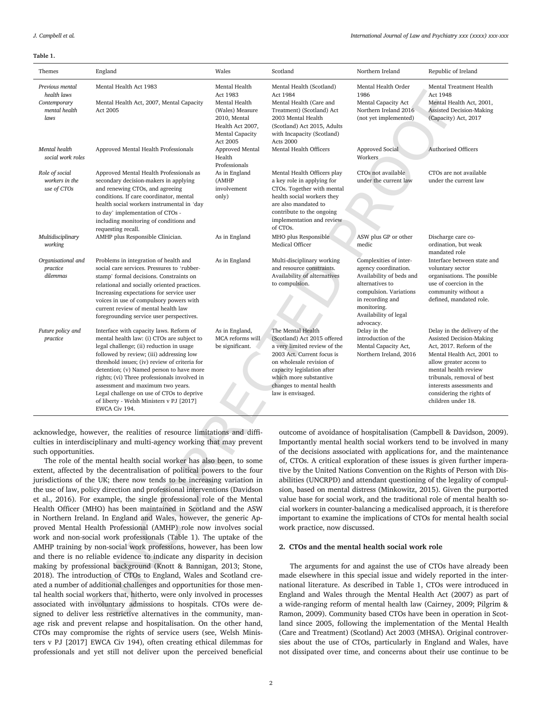#### **Table 1.**

| Themes                                                                                                                                                                                                                                                                                                                                                                                                                                                                                                                                                                                                                                                                                                                                                                                                                                            | England                                                                                                                                                                                                                                                                                                                                                                                                                                                                   | Wales                                                                                                                                   | Scotland                                                                                                                                                                                                                                                                                                                                                                                                                                                                                                                                                                                                                                                                                                                                                                                                | Northern Ireland                                                                                                                                                                                 | Republic of Ireland                                                                                                                                                                                                                                                                 |
|---------------------------------------------------------------------------------------------------------------------------------------------------------------------------------------------------------------------------------------------------------------------------------------------------------------------------------------------------------------------------------------------------------------------------------------------------------------------------------------------------------------------------------------------------------------------------------------------------------------------------------------------------------------------------------------------------------------------------------------------------------------------------------------------------------------------------------------------------|---------------------------------------------------------------------------------------------------------------------------------------------------------------------------------------------------------------------------------------------------------------------------------------------------------------------------------------------------------------------------------------------------------------------------------------------------------------------------|-----------------------------------------------------------------------------------------------------------------------------------------|---------------------------------------------------------------------------------------------------------------------------------------------------------------------------------------------------------------------------------------------------------------------------------------------------------------------------------------------------------------------------------------------------------------------------------------------------------------------------------------------------------------------------------------------------------------------------------------------------------------------------------------------------------------------------------------------------------------------------------------------------------------------------------------------------------|--------------------------------------------------------------------------------------------------------------------------------------------------------------------------------------------------|-------------------------------------------------------------------------------------------------------------------------------------------------------------------------------------------------------------------------------------------------------------------------------------|
| Previous mental<br>health laws<br>Contemporary<br>mental health<br>laws                                                                                                                                                                                                                                                                                                                                                                                                                                                                                                                                                                                                                                                                                                                                                                           | Mental Health Act 1983<br>Mental Health Act, 2007, Mental Capacity<br>Act 2005                                                                                                                                                                                                                                                                                                                                                                                            | Mental Health<br>Act 1983<br>Mental Health<br>(Wales) Measure<br>2010, Mental<br>Health Act 2007,<br><b>Mental Capacity</b><br>Act 2005 | Mental Health (Scotland)<br>Act 1984<br>Mental Health (Care and<br>Treatment) (Scotland) Act<br>2003 Mental Health<br>(Scotland) Act 2015, Adults<br>with Incapacity (Scotland)<br><b>Acts 2000</b>                                                                                                                                                                                                                                                                                                                                                                                                                                                                                                                                                                                                     | Mental Health Order<br>1986<br>Mental Capacity Act<br>Northern Ireland 2016<br>(not yet implemented)                                                                                             | Mental Treatment Health<br>Act 1948<br>Mental Health Act, 2001,<br><b>Assisted Decision-Making</b><br>(Capacity) Act, 2017                                                                                                                                                          |
| Mental health<br>social work roles                                                                                                                                                                                                                                                                                                                                                                                                                                                                                                                                                                                                                                                                                                                                                                                                                | Approved Mental Health Professionals                                                                                                                                                                                                                                                                                                                                                                                                                                      | Approved Mental<br>Health                                                                                                               | Mental Health Officers                                                                                                                                                                                                                                                                                                                                                                                                                                                                                                                                                                                                                                                                                                                                                                                  | Approved Social<br>Workers                                                                                                                                                                       | Authorised Officers                                                                                                                                                                                                                                                                 |
| Role of social<br>workers in the<br>use of CTOs                                                                                                                                                                                                                                                                                                                                                                                                                                                                                                                                                                                                                                                                                                                                                                                                   | Approved Mental Health Professionals as<br>secondary decision-makers in applying<br>and renewing CTOs, and agreeing<br>conditions. If care coordinator, mental<br>health social workers instrumental in 'day<br>to day' implementation of CTOs -<br>including monitoring of conditions and<br>requesting recall.                                                                                                                                                          | Professionals<br>As in England<br>(AMHP<br>involvement<br>only)                                                                         | Mental Health Officers play<br>a key role in applying for<br>CTOs. Together with mental<br>health social workers they<br>are also mandated to<br>contribute to the ongoing<br>implementation and review<br>of CTOs.                                                                                                                                                                                                                                                                                                                                                                                                                                                                                                                                                                                     | CTOs not available<br>under the current law                                                                                                                                                      | CTOs are not available<br>under the current law                                                                                                                                                                                                                                     |
| Multidisciplinary<br>working                                                                                                                                                                                                                                                                                                                                                                                                                                                                                                                                                                                                                                                                                                                                                                                                                      | AMHP plus Responsible Clinician.                                                                                                                                                                                                                                                                                                                                                                                                                                          | As in England                                                                                                                           | MHO plus Responsible<br>Medical Officer                                                                                                                                                                                                                                                                                                                                                                                                                                                                                                                                                                                                                                                                                                                                                                 | ASW plus GP or other<br>medic                                                                                                                                                                    | Discharge care co-<br>ordination, but weak                                                                                                                                                                                                                                          |
| Organisational and<br>practice<br>dilemmas                                                                                                                                                                                                                                                                                                                                                                                                                                                                                                                                                                                                                                                                                                                                                                                                        | Problems in integration of health and<br>social care services. Pressures to 'rubber-<br>stamp' formal decisions. Constraints on<br>relational and socially oriented practices.<br>Increasing expectations for service user<br>voices in use of compulsory powers with<br>current review of mental health law<br>foregrounding service user perspectives.                                                                                                                  | As in England                                                                                                                           | Multi-disciplinary working<br>and resource constraints.<br>Availability of alternatives<br>to compulsion.                                                                                                                                                                                                                                                                                                                                                                                                                                                                                                                                                                                                                                                                                               | Complexities of inter-<br>agency coordination.<br>Availability of beds and<br>alternatives to<br>compulsion. Variations<br>in recording and<br>monitoring.<br>Availability of legal<br>advocacy. | mandated role<br>Interface between state and<br>voluntary sector<br>organisations. The possible<br>use of coercion in the<br>community without a<br>defined, mandated role.                                                                                                         |
| Future policy and<br>practice                                                                                                                                                                                                                                                                                                                                                                                                                                                                                                                                                                                                                                                                                                                                                                                                                     | Interface with capacity laws. Reform of<br>mental health law: (i) CTOs are subject to<br>legal challenge; (ii) reduction in usage<br>followed by review; (iii) addressing low<br>threshold issues; (iv) review of criteria for<br>detention; (v) Named person to have more<br>rights; (vi) Three professionals involved in<br>assessment and maximum two years.<br>Legal challenge on use of CTOs to deprive<br>of liberty - Welsh Ministers v PJ [2017]<br>EWCA Civ 194. | As in England,<br>MCA reforms will<br>be significant.                                                                                   | The Mental Health<br>(Scotland) Act 2015 offered<br>a very limited review of the<br>2003 Act. Current focus is<br>on wholesale revision of<br>capacity legislation after<br>which more substantive<br>changes to mental health<br>law is envisaged.                                                                                                                                                                                                                                                                                                                                                                                                                                                                                                                                                     | Delay in the<br>introduction of the<br>Mental Capacity Act,<br>Northern Ireland, 2016                                                                                                            | Delay in the delivery of the<br>Assisted Decision-Making<br>Act, 2017. Reform of the<br>Mental Health Act, 2001 to<br>allow greater access to<br>mental health review<br>tribunals, removal of best<br>interests assessments and<br>considering the rights of<br>children under 18. |
| acknowledge, however, the realities of resource limitations and diffi-<br>culties in interdisciplinary and multi-agency working that may prevent<br>such opportunities.<br>The role of the mental health social worker has also been, to some<br>extent, affected by the decentralisation of political powers to the four<br>jurisdictions of the UK; there now tends to be increasing variation in<br>the use of law, policy direction and professional interventions (Davidson<br>et al., 2016). For example, the single professional role of the Mental<br>Health Officer (MHO) has been maintained in Scotland and the ASW<br>in Northern Ireland. In England and Wales, however, the generic Ap-<br>proved Mental Health Professional (AMHP) role now involves social<br>work and non-social work professionals (Table 1). The uptake of the |                                                                                                                                                                                                                                                                                                                                                                                                                                                                           |                                                                                                                                         | outcome of avoidance of hospitalisation (Campbell & Davidson, 2009).<br>Importantly mental health social workers tend to be involved in many<br>of the decisions associated with applications for, and the maintenance<br>of, CTOs. A critical exploration of these issues is given further impera-<br>tive by the United Nations Convention on the Rights of Person with Dis-<br>abilities (UNCRPD) and attendant questioning of the legality of compul-<br>sion, based on mental distress (Minkowitz, 2015). Given the purported<br>value base for social work, and the traditional role of mental health so-<br>cial workers in counter-balancing a medicalised approach, it is therefore<br>important to examine the implications of CTOs for mental health social<br>work practice, now discussed. |                                                                                                                                                                                                  |                                                                                                                                                                                                                                                                                     |
| AMHP training by non-social work professions, however, has been low<br>and there is no reliable evidence to indicate any disparity in decision<br>making by professional background (Knott & Bannigan, 2013; Stone,<br>2018). The introduction of CTOs to England, Wales and Scotland cre-<br>ated a number of additional challenges and opportunities for those men-<br>tal health social workers that, hitherto, were only involved in processes<br>associated with involuntary admissions to hospitals. CTOs were de-<br>signed to deliver less restrictive alternatives in the community, man-                                                                                                                                                                                                                                                |                                                                                                                                                                                                                                                                                                                                                                                                                                                                           |                                                                                                                                         | 2. CTOs and the mental health social work role<br>The arguments for and against the use of CTOs have already been<br>made elsewhere in this special issue and widely reported in the inter-<br>national literature. As described in Table 1, CTOs were introduced in<br>England and Wales through the Mental Health Act (2007) as part of<br>a wide-ranging reform of mental health law (Cairney, 2009; Pilgrim &<br>Ramon, 2009). Community based CTOs have been in operation in Scot-                                                                                                                                                                                                                                                                                                                 |                                                                                                                                                                                                  |                                                                                                                                                                                                                                                                                     |

The role of the mental health social worker has also been, to some extent, affected by the decentralisation of political powers to the four jurisdictions of the UK; there now tends to be increasing variation in the use of law, policy direction and professional interventions (Davidson et al., 2016). For example, the single professional role of the Mental Health Officer (MHO) has been maintained in Scotland and the ASW in Northern Ireland. In England and Wales, however, the generic Approved Mental Health Professional (AMHP) role now involves social work and non-social work professionals (Table 1). The uptake of the AMHP training by non-social work professions, however, has been low and there is no reliable evidence to indicate any disparity in decision making by professional background (Knott & Bannigan, 2013; Stone, 2018). The introduction of CTOs to England, Wales and Scotland created a number of additional challenges and opportunities for those mental health social workers that, hitherto, were only involved in processes associated with involuntary admissions to hospitals. CTOs were designed to deliver less restrictive alternatives in the community, manage risk and prevent relapse and hospitalisation. On the other hand, CTOs may compromise the rights of service users (see, Welsh Ministers v PJ [2017] EWCA Civ 194), often creating ethical dilemmas for professionals and yet still not deliver upon the perceived beneficial

#### **2. CTOs and the mental health social work role**

The arguments for and against the use of CTOs have already been made elsewhere in this special issue and widely reported in the international literature. As described in Table 1, CTOs were introduced in England and Wales through the Mental Health Act (2007) as part of a wide-ranging reform of mental health law (Cairney, 2009; Pilgrim & Ramon, 2009). Community based CTOs have been in operation in Scotland since 2005, following the implementation of the Mental Health (Care and Treatment) (Scotland) Act 2003 (MHSA). Original controversies about the use of CTOs, particularly in England and Wales, have not dissipated over time, and concerns about their use continue to be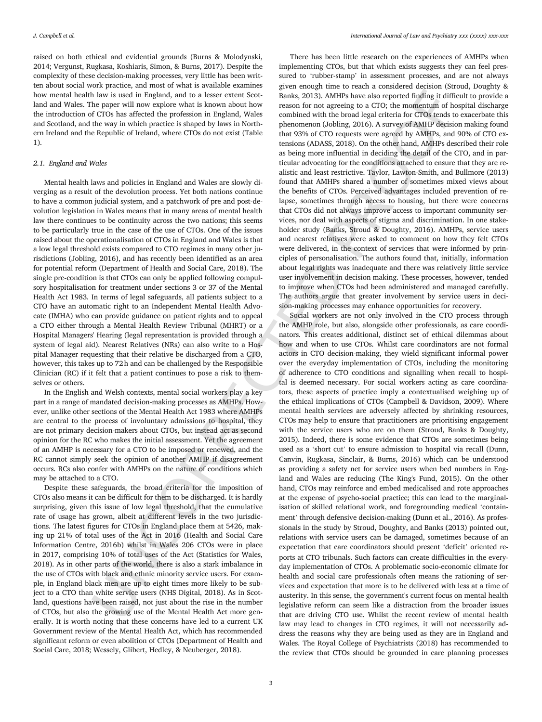raised on both ethical and evidential grounds (Burns & Molodynski, 2014; Vergunst, Rugkasa, Koshiaris, Simon, & Burns, 2017). Despite the complexity of these decision-making processes, very little has been written about social work practice, and most of what is available examines how mental health law is used in England, and to a lesser extent Scotland and Wales. The paper will now explore what is known about how the introduction of CTOs has affected the profession in England, Wales and Scotland, and the way in which practice is shaped by laws in Northern Ireland and the Republic of Ireland, where CTOs do not exist (Table 1).

#### *2.1. England and Wales*

Mental health laws and policies in England and Wales are slowly diverging as a result of the devolution process. Yet both nations continue to have a common judicial system, and a patchwork of pre and post-devolution legislation in Wales means that in many areas of mental health law there continues to be continuity across the two nations; this seems to be particularly true in the case of the use of CTOs. One of the issues raised about the operationalisation of CTOs in England and Wales is that a low legal threshold exists compared to CTO regimes in many other jurisdictions (Jobling, 2016), and has recently been identified as an area for potential reform (Department of Health and Social Care, 2018). The single pre-condition is that CTOs can only be applied following compulsory hospitalisation for treatment under sections 3 or 37 of the Mental Health Act 1983. In terms of legal safeguards, all patients subject to a CTO have an automatic right to an Independent Mental Health Advocate (IMHA) who can provide guidance on patient rights and to appeal a CTO either through a Mental Health Review Tribunal (MHRT) or a Hospital Managers' Hearing (legal representation is provided through a system of legal aid). Nearest Relatives (NRs) can also write to a Hospital Manager requesting that their relative be discharged from a CTO, however, this takes up to 72h and can be challenged by the Responsible Clinician (RC) if it felt that a patient continues to pose a risk to themselves or others.

In the English and Welsh contexts, mental social workers play a key part in a range of mandated decision-making processes as AMHPs. However, unlike other sections of the Mental Health Act 1983 where AMHPs are central to the process of involuntary admissions to hospital, they are not primary decision-makers about CTOs, but instead act as second opinion for the RC who makes the initial assessment. Yet the agreement of an AMHP is necessary for a CTO to be imposed or renewed, and the RC cannot simply seek the opinion of another AMHP if disagreement occurs. RCs also confer with AMHPs on the nature of conditions which may be attached to a CTO.

Despite these safeguards, the broad criteria for the imposition of CTOs also means it can be difficult for them to be discharged. It is hardly surprising, given this issue of low legal threshold, that the cumulative rate of usage has grown, albeit at different levels in the two jurisdictions. The latest figures for CTOs in England place them at 5426, making up 21% of total uses of the Act in 2016 (Health and Social Care Information Centre, 2016b) whilst in Wales 206 CTOs were in place in 2017, comprising 10% of total uses of the Act (Statistics for Wales, 2018). As in other parts of the world, there is also a stark imbalance in the use of CTOs with black and ethnic minority service users. For example, in England black men are up to eight times more likely to be subject to a CTO than white service users (NHS Digital, 2018). As in Scotland, questions have been raised, not just about the rise in the number of CTOs, but also the growing use of the Mental Health Act more generally. It is worth noting that these concerns have led to a current UK Government review of the Mental Health Act, which has recommended significant reform or even abolition of CTOs (Department of Health and Social Care, 2018; Wessely, Glibert, Hedley, & Neuberger, 2018).

There has been little research on the experiences of AMHPs when implementing CTOs, but that which exists suggests they can feel pressured to 'rubber-stamp' in assessment processes, and are not always given enough time to reach a considered decision (Stroud, Doughty & Banks, 2013). AMHPs have also reported finding it difficult to provide a reason for not agreeing to a CTO; the momentum of hospital discharge combined with the broad legal criteria for CTOs tends to exacerbate this phenomenon (Jobling, 2016). A survey of AMHP decision making found that 93% of CTO requests were agreed by AMHPs, and 90% of CTO extensions (ADASS, 2018). On the other hand, AMHPs described their role as being more influential in deciding the detail of the CTO, and in particular advocating for the conditions attached to ensure that they are realistic and least restrictive. Taylor, Lawton-Smith, and Bullmore (2013) found that AMHPs shared a number of sometimes mixed views about the benefits of CTOs. Perceived advantages included prevention of relapse, sometimes through access to housing, but there were concerns that CTOs did not always improve access to important community services, nor deal with aspects of stigma and discrimination. In one stakeholder study (Banks, Stroud & Doughty, 2016). AMHPs, service users and nearest relatives were asked to comment on how they felt CTOs were delivered, in the context of services that were informed by principles of personalisation. The authors found that, initially, information about legal rights was inadequate and there was relatively little service user involvement in decision making. These processes, however, tended to improve when CTOs had been administered and managed carefully. The authors argue that greater involvement by service users in decision-making processes may enhance opportunities for recovery.

The vector in Teplaton, and in a bost extent when the state in the state system in the state of the case of the case of the case of the state of the state of the state of the state of the state of the state of the state o Social workers are not only involved in the CTO process through the AMHP role, but also, alongside other professionals, as care coordinators. This creates additional, distinct set of ethical dilemmas about how and when to use CTOs. Whilst care coordinators are not formal actors in CTO decision-making, they wield significant informal power over the everyday implementation of CTOs, including the monitoring of adherence to CTO conditions and signalling when recall to hospital is deemed necessary. For social workers acting as care coordinators, these aspects of practice imply a contextualised weighing up of the ethical implications of CTOs (Campbell & Davidson, 2009). Where mental health services are adversely affected by shrinking resources, CTOs may help to ensure that practitioners are prioritising engagement with the service users who are on them (Stroud, Banks & Doughty, 2015). Indeed, there is some evidence that CTOs are sometimes being used as a 'short cut' to ensure admission to hospital via recall (Dunn, Canvin, Rugkasa, Sinclair, & Burns, 2016) which can be understood as providing a safety net for service users when bed numbers in England and Wales are reducing (The King's Fund, 2015). On the other hand, CTOs may reinforce and embed medicalised and rote approaches at the expense of psycho-social practice; this can lead to the marginalisation of skilled relational work, and foregrounding medical 'containment' through defensive decision-making (Dunn et al., 2016). As professionals in the study by Stroud, Doughty, and Banks (2013) pointed out, relations with service users can be damaged, sometimes because of an expectation that care coordinators should present 'deficit' oriented reports at CTO tribunals. Such factors can create difficulties in the everyday implementation of CTOs. A problematic socio-economic climate for health and social care professionals often means the rationing of services and expectation that more is to be delivered with less at a time of austerity. In this sense, the government's current focus on mental health legislative reform can seem like a distraction from the broader issues that are driving CTO use. Whilst the recent review of mental health law may lead to changes in CTO regimes, it will not necessarily address the reasons why they are being used as they are in England and Wales. The Royal College of Psychiatrists (2018) has recommended to the review that CTOs should be grounded in care planning processes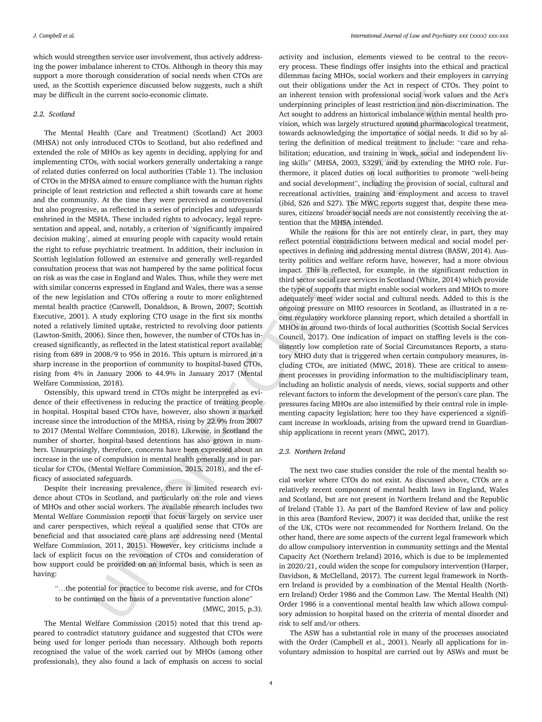which would strengthen service user involvement, thus actively addressing the power imbalance inherent to CTOs. Although in theory this may support a more thorough consideration of social needs when CTOs are used, as the Scottish experience discussed below suggests, such a shift may be difficult in the current socio-economic climate.

#### *2.2. Scotland*

The current unio recommend times.<br>
The mathematic measure of the control is control in the signal of the signal of the control in the control in the control in the control in the control in the control in the control in t The Mental Health (Care and Treatment) (Scotland) Act 2003 (MHSA) not only introduced CTOs to Scotland, but also redefined and extended the role of MHOs as key agents in deciding, applying for and implementing CTOs, with social workers generally undertaking a range of related duties conferred on local authorities (Table 1). The inclusion of CTOs in the MHSA aimed to ensure compliance with the human rights principle of least restriction and reflected a shift towards care at home and the community. At the time they were perceived as controversial but also progressive, as reflected in a series of principles and safeguards enshrined in the MSHA. These included rights to advocacy, legal representation and appeal, and, notably, a criterion of 'significantly impaired decision making', aimed at ensuring people with capacity would retain the right to refuse psychiatric treatment. In addition, their inclusion in Scottish legislation followed an extensive and generally well-regarded consultation process that was not hampered by the same political focus on risk as was the case in England and Wales. Thus, while they were met with similar concerns expressed in England and Wales, there was a sense of the new legislation and CTOs offering a route to more enlightened mental health practice (Carswell, Donaldson, & Brown, 2007; Scottish Executive, 2001). A study exploring CTO usage in the first six months noted a relatively limited uptake, restricted to revolving door patients (Lawton-Smith, 2006). Since then, however, the number of CTOs has increased significantly, as reflected in the latest statistical report available; rising from 689 in 2008/9 to 956 in 2016. This upturn is mirrored in a sharp increase in the proportion of community to hospital-based CTOs, rising from 4% in January 2006 to 44.9% in January 2017 (Mental Welfare Commission, 2018).

Ostensibly, this upward trend in CTOs might be interpreted as evidence of their effectiveness in reducing the practice of treating people in hospital. Hospital based CTOs have, however, also shown a marked increase since the introduction of the MHSA, rising by 22.9% from 2007 to 2017 (Mental Welfare Commission, 2018). Likewise, in Scotland the number of shorter, hospital-based detentions has also grown in numbers. Unsurprisingly, therefore, concerns have been expressed about an increase in the use of compulsion in mental health generally and in particular for CTOs, (Mental Welfare Commission, 2015, 2018), and the efficacy of associated safeguards.

Despite their increasing prevalence, there is limited research evidence about CTOs in Scotland, and particularly on the role and views of MHOs and other social workers. The available research includes two Mental Welfare Commission reports that focus largely on service user and carer perspectives, which reveal a qualified sense that CTOs are beneficial and that associated care plans are addressing need (Mental Welfare Commission, 2011, 2015). However, key criticisms include a lack of explicit focus on the revocation of CTOs and consideration of how support could be provided on an informal basis, which is seen as having:

"…the potential for practice to become risk averse, and for CTOs to be continued on the basis of a preventative function alone" (MWC, 2015, p.3).

The Mental Welfare Commission (2015) noted that this trend appeared to contradict statutory guidance and suggested that CTOs were being used for longer periods than necessary. Although both reports recognised the value of the work carried out by MHOs (among other professionals), they also found a lack of emphasis on access to social

activity and inclusion, elements viewed to be central to the recovery process. These findings offer insights into the ethical and practical dilemmas facing MHOs, social workers and their employers in carrying out their obligations under the Act in respect of CTOs. They point to an inherent tension with professional social work values and the Act's underpinning principles of least restriction and non-discrimination. The Act sought to address an historical imbalance within mental health provision, which was largely structured around pharmacological treatment, towards acknowledging the importance of social needs. It did so by altering the definition of medical treatment to include: "care and rehabilitation; education, and training in work, social and independent living skills" (MHSA, 2003, S329), and by extending the MHO role. Furthermore, it placed duties on local authorities to promote "well-being and social development", including the provision of social, cultural and recreational activities, training and employment and access to travel (ibid, S26 and S27). The MWC reports suggest that, despite these measures, citizens' broader social needs are not consistently receiving the attention that the MHSA intended.

While the reasons for this are not entirely clear, in part, they may reflect potential contradictions between medical and social model perspectives in defining and addressing mental distress (BASW, 2014). Austerity politics and welfare reform have, however, had a more obvious impact. This is reflected, for example, in the significant reduction in third sector social care services in Scotland (White, 2014) which provide the type of supports that might enable social workers and MHOs to more adequately meet wider social and cultural needs. Added to this is the ongoing pressure on MHO resources in Scotland, as illustrated in a recent regulatory workforce planning report, which detailed a shortfall in MHOs in around two-thirds of local authorities (Scottish Social Services Council, 2017). One indication of impact on staffing levels is the consistently low completion rate of Social Circumstances Reports, a statutory MHO duty that is triggered when certain compulsory measures, including CTOs, are initiated (MWC, 2018). These are critical to assessment processes in providing information to the multidisciplinary team, including an holistic analysis of needs, views, social supports and other relevant factors to inform the development of the person's care plan. The pressures facing MHOs are also intensified by their central role in implementing capacity legislation; here too they have experienced a significant increase in workloads, arising from the upward trend in Guardianship applications in recent years (MWC, 2017).

#### *2.3. Northern Ireland*

The next two case studies consider the role of the mental health social worker where CTOs do not exist. As discussed above, CTOs are a relatively recent component of mental health laws in England, Wales and Scotland, but are not present in Northern Ireland and the Republic of Ireland (Table 1). As part of the Bamford Review of law and policy in this area (Bamford Review, 2007) it was decided that, unlike the rest of the UK, CTOs were not recommended for Northern Ireland. On the other hand, there are some aspects of the current legal framework which do allow compulsory intervention in community settings and the Mental Capacity Act (Northern Ireland) 2016, which is due to be implemented in 2020/21, could widen the scope for compulsory intervention (Harper, Davidson, & McClelland, 2017). The current legal framework in Northern Ireland is provided by a combination of the Mental Health (Northern Ireland) Order 1986 and the Common Law. The Mental Health (NI) Order 1986 is a conventional mental health law which allows compulsory admission to hospital based on the criteria of mental disorder and risk to self and/or others.

The ASW has a substantial role in many of the processes associated with the Order (Campbell et al., 2001). Nearly all applications for involuntary admission to hospital are carried out by ASWs and must be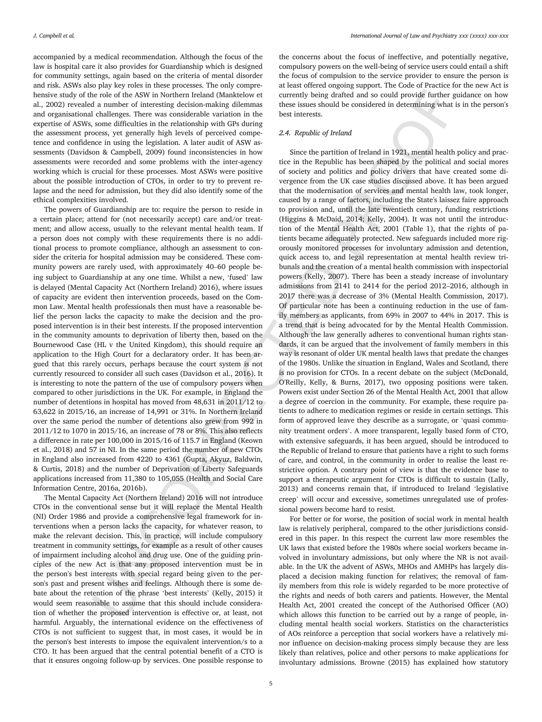accompanied by a medical recommendation. Although the focus of the law is hospital care it also provides for Guardianship which is designed for community settings, again based on the criteria of mental disorder and risk. ASWs also play key roles in these processes. The only comprehensive study of the role of the ASW in Northern Ireland (Manktelow et al., 2002) revealed a number of interesting decision-making dilemmas and organisational challenges. There was considerable variation in the expertise of ASWs, some difficulties in the relationship with GPs during the assessment process, yet generally high levels of perceived competence and confidence in using the legislation. A later audit of ASW assessments (Davidson & Campbell, 2009) found inconsistencies in how assessments were recorded and some problems with the inter-agency working which is crucial for these processes. Most ASWs were positive about the possible introduction of CTOs, in order to try to prevent relapse and the need for admission, but they did also identify some of the ethical complexities involved.

The powers of Guardianship are to: require the person to reside in a certain place; attend for (not necessarily accept) care and/or treatment; and allow access, usually to the relevant mental health team. If a person does not comply with these requirements there is no additional process to promote compliance, although an assessment to consider the criteria for hospital admission may be considered. These community powers are rarely used, with approximately 40–60 people being subject to Guardianship at any one time. Whilst a new, 'fused' law is delayed (Mental Capacity Act (Northern Ireland) 2016), where issues of capacity are evident then intervention proceeds, based on the Common Law. Mental health professionals then must have a reasonable belief the person lacks the capacity to make the decision and the proposed intervention is in their best interests. If the proposed intervention in the community amounts to deprivation of liberty then, based on the Bournewood Case (HL v the United Kingdom), this should require an application to the High Court for a declaratory order. It has been argued that this rarely occurs, perhaps because the court system is not currently resourced to consider all such cases (Davidson et al., 2016). It is interesting to note the pattern of the use of compulsory powers when compared to other jurisdictions in the UK. For example, in England the number of detentions in hospital has moved from 48,631 in 2011/12 to 63,622 in 2015/16, an increase of 14,991 or 31%. In Northern Ireland over the same period the number of detentions also grew from 992 in 2011/12 to 1070 in 2015/16, an increase of 78 or 8%. This also reflects a difference in rate per 100,000 in 2015/16 of 115.7 in England (Keown et al., 2018) and 57 in NI. In the same period the number of new CTOs in England also increased from 4220 to 4361 (Gupta, Akyuz, Baldwin, & Curtis, 2018) and the number of Deprivation of Liberty Safeguards applications increased from 11,380 to 105,055 (Health and Social Care Information Centre, 2016a, 2016b).

The Mental Capacity Act (Northern Ireland) 2016 will not introduce CTOs in the conventional sense but it will replace the Mental Health (NI) Order 1986 and provide a comprehensive legal framework for interventions when a person lacks the capacity, for whatever reason, to make the relevant decision. This, in practice, will include compulsory treatment in community settings, for example as a result of other causes of impairment including alcohol and drug use. One of the guiding principles of the new Act is that any proposed intervention must be in the person's best interests with special regard being given to the person's past and present wishes and feelings. Although there is some debate about the retention of the phrase 'best interests' (Kelly, 2015) it would seem reasonable to assume that this should include consideration of whether the proposed intervention is effective or, at least, not harmful. Arguably, the international evidence on the effectiveness of CTOs is not sufficient to suggest that, in most cases, it would be in the person's best interests to impose the equivalent intervention/s to a CTO. It has been argued that the central potential benefit of a CTO is that it ensures ongoing follow-up by services. One possible response to

the concerns about the focus of ineffective, and potentially negative, compulsory powers on the well-being of service users could entail a shift the focus of compulsion to the service provider to ensure the person is at least offered ongoing support. The Code of Practice for the new Act is currently being drafted and so could provide further guidance on how these issues should be considered in determining what is in the person's best interests.

#### *2.4. Republic of Ireland*

is relation that WAVE in Franchem fractional (the<br>line in the sole for the stational energy being absolute of the stational energy being absolute and a contribution of the stational energy being a matter of the stational Since the partition of Ireland in 1921, mental health policy and practice in the Republic has been shaped by the political and social mores of society and politics and policy drivers that have created some divergence from the UK case studies discussed above. It has been argued that the modernisation of services and mental health law, took longer, caused by a range of factors, including the State's laissez faire approach to provision and, until the late twentieth century, funding restrictions (Higgins & McDaid, 2014; Kelly, 2004). It was not until the introduction of the Mental Health Act, 2001 (Table 1), that the rights of patients became adequately protected. New safeguards included more rigorously monitored processes for involuntary admission and detention, quick access to, and legal representation at mental health review tribunals and the creation of a mental health commission with inspectorial powers (Kelly, 2007). There has been a steady increase of involuntary admissions from 2141 to 2414 for the period 2012–2016, although in 2017 there was a decrease of 3% (Mental Health Commission, 2017). Of particular note has been a continuing reduction in the use of family members as applicants, from 69% in 2007 to 44% in 2017. This is a trend that is being advocated for by the Mental Health Commission. Although the law generally adheres to conventional human rights standards, it can be argued that the involvement of family members in this way is resonant of older UK mental health laws that predate the changes of the 1980s. Unlike the situation in England, Wales and Scotland, there is no provision for CTOs. In a recent debate on the subject (McDonald, O'Reilly, Kelly, & Burns, 2017), two opposing positions were taken. Powers exist under Section 26 of the Mental Health Act, 2001 that allow a degree of coercion in the community. For example, these require patients to adhere to medication regimes or reside in certain settings. This form of approved leave they describe as a surrogate, or 'quasi community treatment orders'. A more transparent, legally based form of CTO, with extensive safeguards, it has been argued, should be introduced to the Republic of Ireland to ensure that patients have a right to such forms of care, and control, in the community in order to realise the least restrictive option. A contrary point of view is that the evidence base to support a therapeutic argument for CTOs is difficult to sustain (Lally, 2013) and concerns remain that, if introduced to Ireland 'legislative creep' will occur and excessive, sometimes unregulated use of professional powers become hard to resist.

For better or for worse, the position of social work in mental health law is relatively peripheral, compared to the other jurisdictions considered in this paper. In this respect the current law more resembles the UK laws that existed before the 1980s where social workers became involved in involuntary admissions, but only where the NR is not available. In the UK the advent of ASWs, MHOs and AMHPs has largely displaced a decision making function for relatives; the removal of family members from this role is widely regarded to be more protective of the rights and needs of both carers and patients. However, the Mental Health Act, 2001 created the concept of the Authorised Officer (AO) which allows this function to be carried out by a range of people, including mental health social workers. Statistics on the characteristics of AOs reinforce a perception that social workers have a relatively minor influence on decision-making process simply because they are less likely than relatives, police and other persons to make applications for involuntary admissions. Browne (2015) has explained how statutory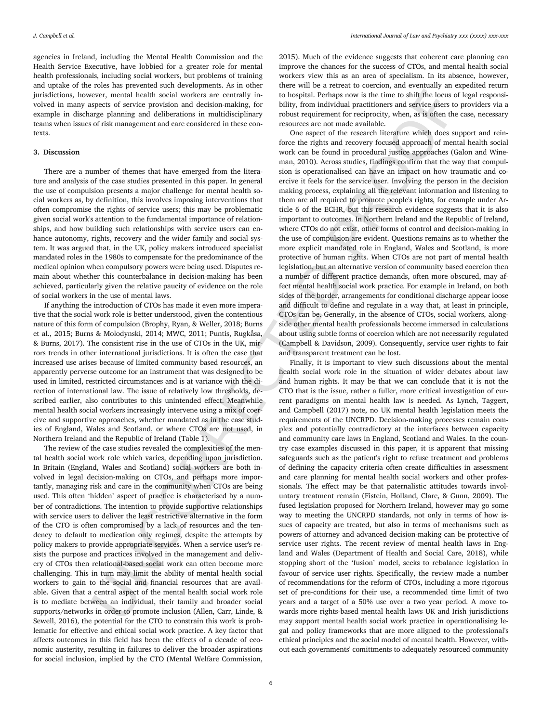agencies in Ireland, including the Mental Health Commission and the Health Service Executive, have lobbied for a greater role for mental health professionals, including social workers, but problems of training and uptake of the roles has prevented such developments. As in other jurisdictions, however, mental health social workers are centrally involved in many aspects of service provision and decision-making, for example in discharge planning and deliberations in multidisciplinary teams when issues of risk management and care considered in these contexts.

#### **3. Discussion**

There are a number of themes that have emerged from the literature and analysis of the case studies presented in this paper. In general the use of compulsion presents a major challenge for mental health social workers as, by definition, this involves imposing interventions that often compromise the rights of service users; this may be problematic given social work's attention to the fundamental importance of relationships, and how building such relationships with service users can enhance autonomy, rights, recovery and the wider family and social system. It was argued that, in the UK, policy makers introduced specialist mandated roles in the 1980s to compensate for the predominance of the medical opinion when compulsory powers were being used. Disputes remain about whether this counterbalance in decision-making has been achieved, particularly given the relative paucity of evidence on the role of social workers in the use of mental laws.

If anything the introduction of CTOs has made it even more imperative that the social work role is better understood, given the contentious nature of this form of compulsion (Brophy, Ryan, & Weller, 2018; Burns et al., 2015; Burns & Molodynski, 2014; MWC, 2011; Puntis, Rugkåsa, & Burns, 2017). The consistent rise in the use of CTOs in the UK, mirrors trends in other international jurisdictions. It is often the case that increased use arises because of limited community based resources, an apparently perverse outcome for an instrument that was designed to be used in limited, restricted circumstances and is at variance with the direction of international law. The issue of relatively low thresholds, described earlier, also contributes to this unintended effect. Meanwhile mental health social workers increasingly intervene using a mix of coercive and supportive approaches, whether mandated as in the case studies of England, Wales and Scotland, or where CTOs are not used, in Northern Ireland and the Republic of Ireland (Table 1).

The review of the case studies revealed the complexities of the mental health social work role which varies, depending upon jurisdiction. In Britain (England, Wales and Scotland) social workers are both involved in legal decision-making on CTOs, and perhaps more importantly, managing risk and care in the community when CTOs are being used. This often 'hidden' aspect of practice is characterised by a number of contradictions. The intention to provide supportive relationships with service users to deliver the least restrictive alternative in the form of the CTO is often compromised by a lack of resources and the tendency to default to medication only regimes, despite the attempts by policy makers to provide appropriate services. When a service user's resists the purpose and practices involved in the management and delivery of CTOs then relational-based social work can often become more challenging. This in turn may limit the ability of mental health social workers to gain to the social and financial resources that are available. Given that a central aspect of the mental health social work role is to mediate between an individual, their family and broader social supports/networks in order to promote inclusion (Allen, Carr, Linde, & Sewell, 2016), the potential for the CTO to constrain this work is problematic for effective and ethical social work practice. A key factor that affects outcomes in this field has been the effects of a decade of economic austerity, resulting in failures to deliver the broader aspirations for social inclusion, implied by the CTO (Mental Welfare Commission,

2015). Much of the evidence suggests that coherent care planning can improve the chances for the success of CTOs, and mental health social workers view this as an area of specialism. In its absence, however, there will be a retreat to coercion, and eventually an expedited return to hospital. Perhaps now is the time to shift the locus of legal responsibility, from individual practitioners and service users to providers via a robust requirement for reciprocity, when, as is often the case, necessary resources are not made available.

One aspect of the research literature which does support and reinforce the rights and recovery focused approach of mental health social work can be found in procedural justice approaches (Galon and Wineman, 2010). Across studies, findings confirm that the way that compulsion is operationalised can have an impact on how traumatic and coercive it feels for the service user. Involving the person in the decision making process, explaining all the relevant information and listening to them are all required to promote people's rights, for example under Article 6 of the ECHR, but this research evidence suggests that it is also important to outcomes. In Northern Ireland and the Republic of Ireland, where CTOs do not exist, other forms of control and decision-making in the use of compulsion are evident. Questions remains as to whether the more explicit mandated role in England, Wales and Scotland, is more protective of human rights. When CTOs are not part of mental health legislation, but an alternative version of community based coercion then a number of different practice demands, often more obscured, may affect mental health social work practice. For example in Ireland, on both sides of the border, arrangements for conditional discharge appear loose and difficult to define and regulate in a way that, at least in principle, CTOs can be. Generally, in the absence of CTOs, social workers, alongside other mental health professionals become immersed in calculations about using subtle forms of coercion which are not necessarily regulated (Campbell & Davidson, 2009). Consequently, service user rights to fair and transparent treatment can be lost.

even are the basis basis in the basis in the controller in the controller in the basis in the basis of the state of the controller in the controller in the controller in the state of the controller in the controller in th Finally, it is important to view such discussions about the mental health social work role in the situation of wider debates about law and human rights. It may be that we can conclude that it is not the CTO that is the issue, rather a fuller, more critical investigation of current paradigms on mental health law is needed. As Lynch, Taggert, and Campbell (2017) note, no UK mental health legislation meets the requirements of the UNCRPD. Decision-making processes remain complex and potentially contradictory at the interfaces between capacity and community care laws in England, Scotland and Wales. In the country case examples discussed in this paper, it is apparent that missing safeguards such as the patient's right to refuse treatment and problems of defining the capacity criteria often create difficulties in assessment and care planning for mental health social workers and other professionals. The effect may be that paternalistic attitudes towards involuntary treatment remain (Fistein, Holland, Clare, & Gunn, 2009). The fused legislation proposed for Northern Ireland, however may go some way to meeting the UNCRPD standards, not only in terms of how issues of capacity are treated, but also in terms of mechanisms such as powers of attorney and advanced decision-making can be protective of service user rights. The recent review of mental health laws in England and Wales (Department of Health and Social Care, 2018), while stopping short of the 'fusion' model, seeks to rebalance legislation in favour of service user rights. Specifically, the review made a number of recommendations for the reform of CTOs, including a more rigorous set of pre-conditions for their use, a recommended time limit of two years and a target of a 50% use over a two year period. A move towards more rights-based mental health laws UK and Irish jurisdictions may support mental health social work practice in operationalising legal and policy frameworks that are more aligned to the professional's ethical principles and the social model of mental health. However, without each governments' comittments to adequately resourced community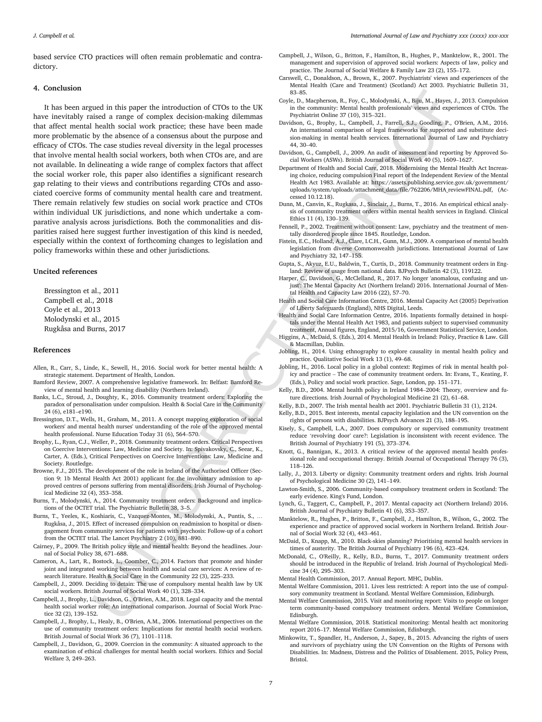based service CTO practices will often remain problematic and contradictory.

#### **4. Conclusion**

and in this paper the interded rice of GTOs to the UK and the base and the same of exponential and the same of exponential and the same of exponential and the same of exponential and the same of exponential and the same o It has been argued in this paper the introduction of CTOs to the UK have inevitably raised a range of complex decision-making dilemmas that affect mental health social work practice; these have been made more problematic by the absence of a consensus about the purpose and efficacy of CTOs. The case studies reveal diversity in the legal processes that involve mental health social workers, both when CTOs are, and are not available. In delineating a wide range of complex factors that affect the social worker role, this paper also identifies a significant research gap relating to their views and contributions regarding CTOs and associated coercive forms of community mental health care and treatment. There remain relatively few studies on social work practice and CTOs within individual UK jurisdictions, and none which undertake a comparative analysis across jurisdictions. Both the commonalities and disparities raised here suggest further investigation of this kind is needed, especially within the context of forthcoming changes to legislation and policy frameworks within these and other jurisdictions.

#### **Uncited references**

Bressington et al., 2011 Campbell et al., 2018 Coyle et al., 2013 Molodynski et al., 2015 Rugkåsa and Burns, 2017

#### **References**

- Allen, R., Carr, S., Linde, K., Sewell, H., 2016. Social work for better mental health: A strategic statement. Department of Health, London.
- Bamford Review, 2007. A comprehensive legislative framework. In: Belfast: Bamford Review of mental health and learning disability (Northern Ireland).
- Banks, L.C., Stroud, J., Doughty, K., 2016. Community treatment orders: Exploring the paradox of personalisation under compulsion. Health & Social Care in the Community 24 (6), e181–e190.
- Bressington, D.T., Wells, H., Graham, M., 2011. A concept mapping exploration of social workers' and mental health nurses' understanding of the role of the approved mental health professional. Nurse Education Today 31 (6), 564–570.
- Brophy, L., Ryan, C.J., Weller, P., 2018. Community treatment orders. Critical Perspectives on Coercive Interventions: Law, Medicine and Society. In: Spivakovsky, C., Seear, K., Carter, A. (Eds.), Critical Perspectives on Coercive Interventions: Law, Medicine and Society. Routledge.
- Browne, F.J., 2015. The development of the role in Ireland of the Authorised Officer (Section 9: 1b Mental Health Act 2001) applicant for the involuntary admission to approved centres of persons suffering from mental disorders. Irish Journal of Psychological Medicine 32 (4), 353–358.
- Burns, T., Molodynski, A., 2014. Community treatment orders: Background and implications of the OCTET trial. The Psychiatric Bulletin 38, 3–5.
- Burns, T., Yeeles, K., Koshiaris, C., Vazquez-Montes, M., Molodynski, A., Puntis, S., … Rugkåsa, J., 2015. Effect of increased compulsion on readmission to hospital or disengagement from community services for patients with psychosis: Follow-up of a cohort from the OCTET trial. The Lancet Psychiatry 2 (10), 881–890.
- Cairney, P., 2009. The British policy style and mental health: Beyond the headlines. Journal of Social Policy 38, 671–688.
- Cameron, A., Lart, R., Bostock, L., Coomber, C., 2014. Factors that promote and hinder joint and integrated working between health and social care services: A review of research literature. Health & Social Care in the Community 22 (3), 225–233.
- Campbell, J., 2009. Deciding to detain: The use of compulsory mental health law by UK social workers. British Journal of Social Work 40 (1), 328–334.
- Campbell, J., Brophy, L., Davidson, G., O'Brien, A.M., 2018. Legal capacity and the mental health social worker role: An international comparison. Journal of Social Work Practice 32 (2), 139–152.
- Campbell, J., Brophy, L., Healy, B., O'Brien, A.M., 2006. International perspectives on the use of community treatment orders: Implications for mental health social workers. British Journal of Social Work 36 (7), 1101–1118.
- Campbell, J., Davidson, G., 2009. Coercion in the community: A situated approach to the examination of ethical challenges for mental health social workers. Ethics and Social Welfare 3, 249–263.
- Campbell, J., Wilson, G., Britton, F., Hamilton, B., Hughes, P., Manktelow, R., 2001. The management and supervision of approved social workers: Aspects of law, policy and practice. The Journal of Social Welfare & Family Law 23 (2), 155–172.
- Carswell, C., Donaldson, A., Brown, K., 2007. Psychiatrists' views and experiences of the Mental Health (Care and Treatment) (Scotland) Act 2003. Psychiatric Bulletin 31, 83–85.
- Coyle, D., Macpherson, R., Foy, C., Molodynski, A., Biju, M., Hayes, J., 2013. Compulsion in the community: Mental health professionals' views and experiences of CTOs. The Psychiatrist Online 37 (10), 315–321.
- Davidson, G., Brophy, L., Campbell, J., Farrell, S.J., Gooding, P., O'Brien, A.M., 2016. An international comparison of legal frameworks for supported and substitute decision-making in mental health services. International Journal of Law and Psychiatry 44, 30–40.
- Davidson, G., Campbell, J., 2009. An audit of assessment and reporting by Approved Social Workers (ASWs). British Journal of Social Work 40 (5), 1609–1627.
- Department of Health and Social Care, 2018. Modernising the Mental Health Act Increasing choice, reducing compulsion Final report of the Independent Review of the Mental Health Act 1983. Available at: https://assets.publishing.service.gov.uk/government/ uploads/system/uploads/attachment\_data/file/762206/MHA\_reviewFINAL.pdf, (Accessed 10.12.18).
- Dunn, M., Canvin, K., Rugkasa, J., Sinclair, J., Burns, T., 2016. An empirical ethical analysis of community treatment orders within mental health services in England. Clinical Ethics 11 (4), 130–139.
- Fennell, P., 2002. Treatment without consent: Law, psychiatry and the treatment of mentally disordered people since 1845. Routledge, London.
- Fistein, E.C., Holland, A.J., Clare, I.C.H., Gunn, M.J., 2009. A comparison of mental health legislation from diverse Commonwealth jurisdictions. International Journal of Law and Psychiatry 32, 147–155.
- Gupta, S., Akyuz, E.U., Baldwin, T., Curtis, D., 2018. Community treatment orders in England: Review of usage from national data. BJPsych Bulletin 42 (3), 119122.
- Harper, C., Davidson, G., McClelland, R., 2017. No longer 'anomalous, confusing and unjust': The Mental Capacity Act (Northern Ireland) 2016. International Journal of Mental Health and Capacity Law 2016 (22), 57–70.
- Health and Social Care Information Centre, 2016. Mental Capacity Act (2005) Deprivation of Liberty Safeguards (England), NHS Digital, Leeds.
- Health and Social Care Information Centre, 2016. Inpatients formally detained in hospitals under the Mental Health Act 1983, and patients subject to supervised community treatment, Annual figures, England, 2015/16, Government Statistical Service, London.
- Higgins, A., McDaid, S. (Eds.), 2014. Mental Health in Ireland: Policy, Practice & Law. Gill & Macmillan, Dublin.
- Jobling, H., 2014. Using ethnography to explore causality in mental health policy and practice. Qualitative Social Work 13 (1), 49–68.
- Jobling, H., 2016. Local policy in a global context: Regimes of risk in mental health policy and practice – The case of community treatment orders. In: Evans, T., Keating, F. (Eds.), Policy and social work practice. Sage, London, pp. 151–171.
- Kelly, B.D., 2004. Mental health policy in Ireland 1984–2004: Theory, overview and future directions. Irish Journal of Psychological Medicine 21 (2), 61–68.
- Kelly, B.D., 2007. The Irish mental health act 2001. Psychiatric Bulletin 31 (1), 2124.
- Kelly, B.D., 2015. Best interests, mental capacity legislation and the UN convention on the rights of persons with disabilities. BJPsych Advances 21 (3), 188–195.
- Kisely, S., Campbell, L.A., 2007. Does compulsory or supervised community treatment reduce 'revolving door' care?: Legislation is inconsistent with recent evidence. The British Journal of Psychiatry 191 (5), 373–374.
- Knott, G., Bannigan, K., 2013. A critical review of the approved mental health professional role and occupational therapy. British Journal of Occupational Therapy 76 (3), 118–126.
- Lally, J., 2013. Liberty or dignity: Community treatment orders and rights. Irish Journal of Psychological Medicine 30 (2), 141–149.
- Lawton-Smith, S., 2006. Community-based compulsory treatment orders in Scotland: The early evidence. King's Fund, London.
- Lynch, G., Taggert, C., Campbell, P., 2017. Mental capacity act (Northern Ireland) 2016. British Journal of Psychiatry Bulletin 41 (6), 353–357.
- Manktelow, R., Hughes, P., Britton, F., Campbell, J., Hamilton, B., Wilson, G., 2002. The experience and practice of approved social workers in Northern Ireland. British Journal of Social Work 32 (4), 443–461.
- McDaid, D., Knapp, M., 2010. Black-skies planning? Prioritising mental health services in times of austerity. The British Journal of Psychiatry 196 (6), 423–424.
- McDonald, C., O'Reilly, R., Kelly, B.D., Burns, T., 2017. Community treatment orders should be introduced in the Republic of Ireland. Irish Journal of Psychological Medicine 34 (4), 295–303.
- Mental Health Commission, 2017. Annual Report. MHC, Dublin.
- Mental Welfare Commission, 2011. Lives less restricted: A report into the use of compulsory community treatment in Scotland. Mental Welfare Commission, Edinburgh.
- Mental Welfare Commission, 2015. Visit and monitoring report: Visits to people on longer term community-based compulsory treatment orders. Mental Welfare Commission, Edinburgh.
- Mental Welfare Commission, 2018. Statistical monitoring: Mental health act monitoring report 2016–17. Mental Welfare Commission, Edinburgh.
- Minkowitz, T., Spandler, H., Anderson, J., Sapey, B., 2015. Advancing the rights of users and survivors of psychiatry using the UN Convention on the Rights of Persons with Disabilities. In: Madness, Distress and the Politics of Disablement. 2015, Policy Press, Bristol.